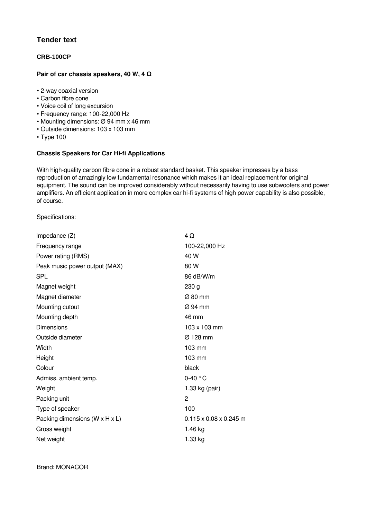## **Tender text**

## **CRB-100CP**

## **Pair of car chassis speakers, 40 W, 4 Ω**

- 2-way coaxial version
- Carbon fibre cone
- Voice coil of long excursion
- Frequency range: 100-22,000 Hz
- Mounting dimensions: Ø 94 mm x 46 mm
- Outside dimensions: 103 x 103 mm
- Type 100

## **Chassis Speakers for Car Hi-fi Applications**

With high-quality carbon fibre cone in a robust standard basket. This speaker impresses by a bass reproduction of amazingly low fundamental resonance which makes it an ideal replacement for original equipment. The sound can be improved considerably without necessarily having to use subwoofers and power amplifiers. An efficient application in more complex car hi-fi systems of high power capability is also possible, of course.

Specifications:

| Impedance $(Z)$                              | $4\Omega$                          |
|----------------------------------------------|------------------------------------|
| Frequency range                              | 100-22,000 Hz                      |
| Power rating (RMS)                           | 40 W                               |
| Peak music power output (MAX)                | 80 W                               |
| <b>SPL</b>                                   | 86 dB/W/m                          |
| Magnet weight                                | 230 <sub>g</sub>                   |
| Magnet diameter                              | $\varnothing$ 80 mm                |
| Mounting cutout                              | $\varnothing$ 94 mm                |
| Mounting depth                               | 46 mm                              |
| <b>Dimensions</b>                            | 103 x 103 mm                       |
| Outside diameter                             | Ø 128 mm                           |
| Width                                        | 103 mm                             |
| Height                                       | $103 \text{ mm}$                   |
| Colour                                       | black                              |
| Admiss. ambient temp.                        | $0-40$ °C                          |
| Weight                                       | 1.33 kg (pair)                     |
| Packing unit                                 | 2                                  |
| Type of speaker                              | 100                                |
| Packing dimensions ( $W \times H \times L$ ) | $0.115 \times 0.08 \times 0.245$ m |
| Gross weight                                 | 1.46 kg                            |
| Net weight                                   | 1.33 kg                            |
|                                              |                                    |

Brand: MONACOR